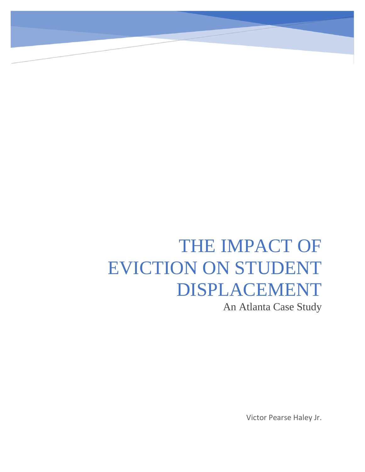# THE IMPACT OF EVICTION ON STUDENT DISPLACEMENT

An Atlanta Case Study

Victor Pearse Haley Jr.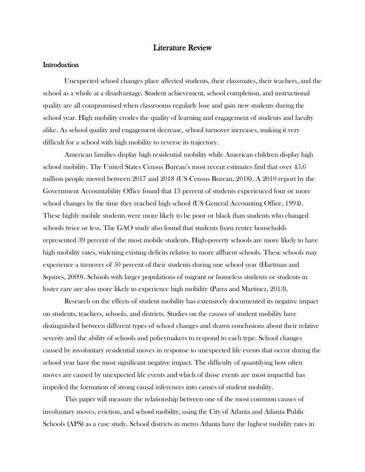# Literature Review

## **Introduction**

Unexpected school changes place affected students, their classmates, their teachers, and the school as a whole at a disadvantage. Student achievement, school completion, and instructional quality are all compromised when classrooms regularly lose and gain new students during the school year. High mobility erodes the quality of learning and engagement of students and faculty alike. As school quality and engagement decrease, school turnover increases, making it very difficult for a school with high mobility to reverse its trajectory.

American families display high residential mobility while American children display high school mobility. The United States Census Bureau's most recent estimates find that over 45.6 million people moved between 2017 and 2018 (US Census Bureau, 2018). A 2010 report by the Government Accountability Office found that 13 percent of students experienced four or more school changes by the time they reached high school (US General Accounting Office, 1994). These highly mobile students were more likely to be poor or black than students who changed schools twice or less. The GAO study also found that students from renter households represented 39 percent of the most mobile students. High-poverty schools are more likely to have high mobility rates, widening existing deficits relative to more affluent schools. These schools may experience a turnover of 50 percent of their students during one school year (Hartman and Squires, 2009). Schools with larger populations of migrant or homeless students or students in foster care are also more likely to experience high mobility (Parra and Martinez, 2013).

Research on the effects of student mobility has extensively documented its negative impact on students, teachers, schools, and districts. Studies on the causes of student mobility have distinguished between different types of school changes and drawn conclusions about their relative severity and the ability of schools and policymakers to respond to each type. School changes caused by involuntary residential moves in response to unexpected life events that occur during the school year have the most significant negative impact. The difficulty of quantifying how often moves are caused by unexpected life events and which of those events are most impactful has impeded the formation of strong causal inferences into causes of student mobility.

This paper will measure the relationship between one of the most common causes of involuntary moves, eviction, and school mobility, using the City of Atlanta and Atlanta Public Schools (APS) as a case study. School districts in metro Atlanta have the highest mobility rates in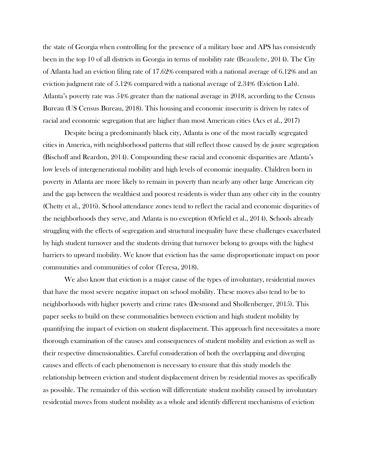the state of Georgia when controlling for the presence of a military base and APS has consistently been in the top 10 of all districts in Georgia in terms of mobility rate (Beaudette, 2014). The City of Atlanta had an eviction filing rate of 17.62% compared with a national average of 6.12% and an eviction judgment rate of 5.12% compared with a national average of 2.34% (Eviction Lab). Atlanta's poverty rate was 54% greater than the national average in 2018, according to the Census Bureau (US Census Bureau, 2018). This housing and economic insecurity is driven by rates of racial and economic segregation that are higher than most American cities (Acs et al., 2017)

Despite being a predominantly black city, Atlanta is one of the most racially segregated cities in America, with neighborhood patterns that still reflect those caused by de joure segregation (Bischoff and Reardon, 2014). Compounding these racial and economic disparities are Atlanta's low levels of intergenerational mobility and high levels of economic inequality. Children born in poverty in Atlanta are more likely to remain in poverty than nearly any other large American city and the gap between the wealthiest and poorest residents is wider than any other city in the country (Chetty et al., 2016). School attendance zones tend to reflect the racial and economic disparities of the neighborhoods they serve, and Atlanta is no exception (Orfield et al., 2014). Schools already struggling with the effects of segregation and structural inequality have these challenges exacerbated by high student turnover and the students driving that turnover belong to groups with the highest barriers to upward mobility. We know that eviction has the same disproportionate impact on poor communities and communities of color (Teresa, 2018).

We also know that eviction is a major cause of the types of involuntary, residential moves that have the most severe negative impact on school mobility. These moves also tend to be to neighborhoods with higher poverty and crime rates (Desmond and Shollenberger, 2015). This paper seeks to build on these commonalities between eviction and high student mobility by quantifying the impact of eviction on student displacement. This approach first necessitates a more thorough examination of the causes and consequences of student mobility and eviction as well as their respective dimensionalities. Careful consideration of both the overlapping and diverging causes and effects of each phenomenon is necessary to ensure that this study models the relationship between eviction and student displacement driven by residential moves as specifically as possible. The remainder of this section will differentiate student mobility caused by involuntary residential moves from student mobility as a whole and identify different mechanisms of eviction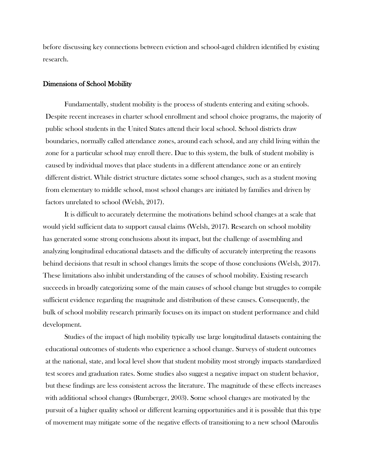before discussing key connections between eviction and school-aged children identified by existing research.

#### Dimensions of School Mobility

Fundamentally, student mobility is the process of students entering and exiting schools. Despite recent increases in charter school enrollment and school choice programs, the majority of public school students in the United States attend their local school. School districts draw boundaries, normally called attendance zones, around each school, and any child living within the zone for a particular school may enroll there. Due to this system, the bulk of student mobility is caused by individual moves that place students in a different attendance zone or an entirely different district. While district structure dictates some school changes, such as a student moving from elementary to middle school, most school changes are initiated by families and driven by factors unrelated to school (Welsh, 2017).

It is difficult to accurately determine the motivations behind school changes at a scale that would yield sufficient data to support causal claims (Welsh, 2017). Research on school mobility has generated some strong conclusions about its impact, but the challenge of assembling and analyzing longitudinal educational datasets and the difficulty of accurately interpreting the reasons behind decisions that result in school changes limits the scope of those conclusions (Welsh, 2017). These limitations also inhibit understanding of the causes of school mobility. Existing research succeeds in broadly categorizing some of the main causes of school change but struggles to compile sufficient evidence regarding the magnitude and distribution of these causes. Consequently, the bulk of school mobility research primarily focuses on its impact on student performance and child development.

Studies of the impact of high mobility typically use large longitudinal datasets containing the educational outcomes of students who experience a school change. Surveys of student outcomes at the national, state, and local level show that student mobility most strongly impacts standardized test scores and graduation rates. Some studies also suggest a negative impact on student behavior, but these findings are less consistent across the literature. The magnitude of these effects increases with additional school changes (Rumberger, 2003). Some school changes are motivated by the pursuit of a higher quality school or different learning opportunities and it is possible that this type of movement may mitigate some of the negative effects of transitioning to a new school (Maroulis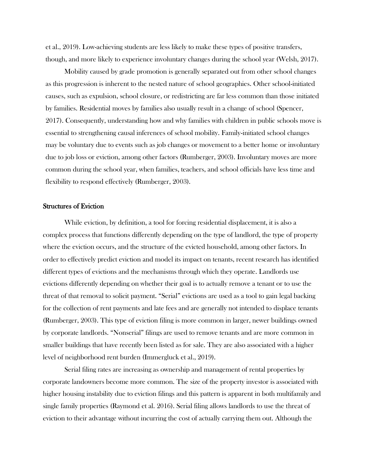et al., 2019). Low-achieving students are less likely to make these types of positive transfers, though, and more likely to experience involuntary changes during the school year (Welsh, 2017).

Mobility caused by grade promotion is generally separated out from other school changes as this progression is inherent to the nested nature of school geographies. Other school-initiated causes, such as expulsion, school closure, or redistricting are far less common than those initiated by families. Residential moves by families also usually result in a change of school (Spencer, 2017). Consequently, understanding how and why families with children in public schools move is essential to strengthening causal inferences of school mobility. Family-initiated school changes may be voluntary due to events such as job changes or movement to a better home or involuntary due to job loss or eviction, among other factors (Rumberger, 2003). Involuntary moves are more common during the school year, when families, teachers, and school officials have less time and flexibility to respond effectively (Rumberger, 2003).

# Structures of Eviction

While eviction, by definition, a tool for forcing residential displacement, it is also a complex process that functions differently depending on the type of landlord, the type of property where the eviction occurs, and the structure of the evicted household, among other factors. In order to effectively predict eviction and model its impact on tenants, recent research has identified different types of evictions and the mechanisms through which they operate. Landlords use evictions differently depending on whether their goal is to actually remove a tenant or to use the threat of that removal to solicit payment. "Serial" evictions are used as a tool to gain legal backing for the collection of rent payments and late fees and are generally not intended to displace tenants (Rumberger, 2003). This type of eviction filing is more common in larger, newer buildings owned by corporate landlords. "Nonserial" filings are used to remove tenants and are more common in smaller buildings that have recently been listed as for sale. They are also associated with a higher level of neighborhood rent burden (Immergluck et al., 2019).

Serial filing rates are increasing as ownership and management of rental properties by corporate landowners become more common. The size of the property investor is associated with higher housing instability due to eviction filings and this pattern is apparent in both multifamily and single family properties (Raymond et al. 2016). Serial filing allows landlords to use the threat of eviction to their advantage without incurring the cost of actually carrying them out. Although the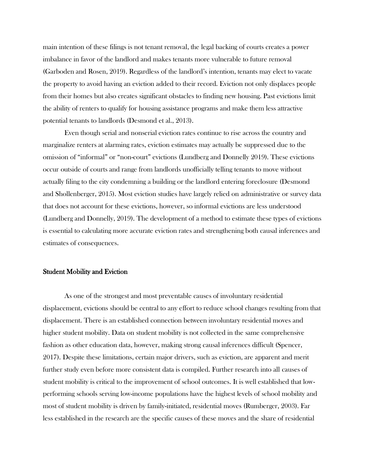main intention of these filings is not tenant removal, the legal backing of courts creates a power imbalance in favor of the landlord and makes tenants more vulnerable to future removal (Garboden and Rosen, 2019). Regardless of the landlord's intention, tenants may elect to vacate the property to avoid having an eviction added to their record. Eviction not only displaces people from their homes but also creates significant obstacles to finding new housing. Past evictions limit the ability of renters to qualify for housing assistance programs and make them less attractive potential tenants to landlords (Desmond et al., 2013).

Even though serial and nonserial eviction rates continue to rise across the country and marginalize renters at alarming rates, eviction estimates may actually be suppressed due to the omission of "informal" or "non-court" evictions (Lundberg and Donnelly 2019). These evictions occur outside of courts and range from landlords unofficially telling tenants to move without actually filing to the city condemning a building or the landlord entering foreclosure (Desmond and Shollenberger, 2015). Most eviction studies have largely relied on administrative or survey data that does not account for these evictions, however, so informal evictions are less understood (Lundberg and Donnelly, 2019). The development of a method to estimate these types of evictions is essential to calculating more accurate eviction rates and strengthening both causal inferences and estimates of consequences.

#### Student Mobility and Eviction

As one of the strongest and most preventable causes of involuntary residential displacement, evictions should be central to any effort to reduce school changes resulting from that displacement. There is an established connection between involuntary residential moves and higher student mobility. Data on student mobility is not collected in the same comprehensive fashion as other education data, however, making strong causal inferences difficult (Spencer, 2017). Despite these limitations, certain major drivers, such as eviction, are apparent and merit further study even before more consistent data is compiled. Further research into all causes of student mobility is critical to the improvement of school outcomes. It is well established that lowperforming schools serving low-income populations have the highest levels of school mobility and most of student mobility is driven by family-initiated, residential moves (Rumberger, 2003). Far less established in the research are the specific causes of these moves and the share of residential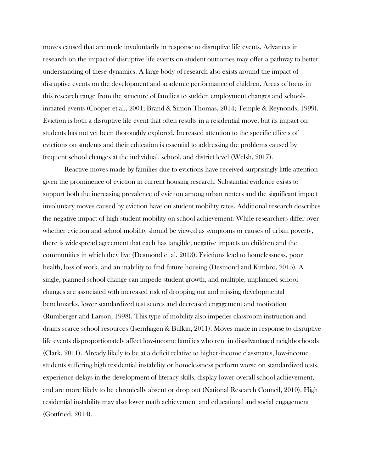moves caused that are made involuntarily in response to disruptive life events. Advances in research on the impact of disruptive life events on student outcomes may offer a pathway to better understanding of these dynamics. A large body of research also exists around the impact of disruptive events on the development and academic performance of children. Areas of focus in this research range from the structure of families to sudden employment changes and schoolinitiated events (Cooper et al., 2001; Brand & Simon Thomas, 2014; Temple & Reynonds, 1999). Eviction is both a disruptive life event that often results in a residential move, but its impact on students has not yet been thoroughly explored. Increased attention to the specific effects of evictions on students and their education is essential to addressing the problems caused by frequent school changes at the individual, school, and district level (Welsh, 2017).

Reactive moves made by families due to evictions have received surprisingly little attention given the prominence of eviction in current housing research. Substantial evidence exists to support both the increasing prevalence of eviction among urban renters and the significant impact involuntary moves caused by eviction have on student mobility rates. Additional research describes the negative impact of high student mobility on school achievement. While researchers differ over whether eviction and school mobility should be viewed as symptoms or causes of urban poverty, there is widespread agreement that each has tangible, negative impacts on children and the communities in which they live (Desmond et al. 2013). Evictions lead to homelessness, poor health, loss of work, and an inability to find future housing (Desmond and Kimbro, 2015). A single, planned school change can impede student growth, and multiple, unplanned school changes are associated with increased risk of dropping out and missing developmental benchmarks, lower standardized test scores and decreased engagement and motivation (Rumberger and Larson, 1998). This type of mobility also impedes classroom instruction and drains scarce school resources (Isernhagen & Bulkin, 2011). Moves made in response to disruptive life events disproportionately affect low-income families who rent in disadvantaged neighborhoods (Clark, 2011). Already likely to be at a deficit relative to higher-income classmates, low-income students suffering high residential instability or homelessness perform worse on standardized tests, experience delays in the development of literacy skills, display lower overall school achievement, and are more likely to be chronically absent or drop out (National Research Council, 2010). High residential instability may also lower math achievement and educational and social engagement (Gottfried, 2014).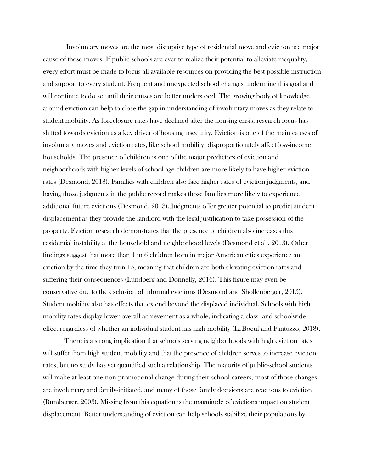Involuntary moves are the most disruptive type of residential move and eviction is a major cause of these moves. If public schools are ever to realize their potential to alleviate inequality, every effort must be made to focus all available resources on providing the best possible instruction and support to every student. Frequent and unexpected school changes undermine this goal and will continue to do so until their causes are better understood. The growing body of knowledge around eviction can help to close the gap in understanding of involuntary moves as they relate to student mobility. As foreclosure rates have declined after the housing crisis, research focus has shifted towards eviction as a key driver of housing insecurity. Eviction is one of the main causes of involuntary moves and eviction rates, like school mobility, disproportionately affect low-income households. The presence of children is one of the major predictors of eviction and neighborhoods with higher levels of school age children are more likely to have higher eviction rates (Desmond, 2013). Families with children also face higher rates of eviction judgments, and having those judgments in the public record makes those families more likely to experience additional future evictions (Desmond, 2013). Judgments offer greater potential to predict student displacement as they provide the landlord with the legal justification to take possession of the property. Eviction research demonstrates that the presence of children also increases this residential instability at the household and neighborhood levels (Desmond et al., 2013). Other findings suggest that more than 1 in 6 children born in major American cities experience an eviction by the time they turn 15, meaning that children are both elevating eviction rates and suffering their consequences (Lundberg and Donnelly, 2016). This figure may even be conservative due to the exclusion of informal evictions (Desmond and Shollenberger, 2015). Student mobility also has effects that extend beyond the displaced individual. Schools with high mobility rates display lower overall achievement as a whole, indicating a class- and schoolwide effect regardless of whether an individual student has high mobility (LeBoeuf and Fantuzzo, 2018).

There is a strong implication that schools serving neighborhoods with high eviction rates will suffer from high student mobility and that the presence of children serves to increase eviction rates, but no study has yet quantified such a relationship. The majority of public-school students will make at least one non-promotional change during their school careers, most of those changes are involuntary and family-initiated, and many of those family decisions are reactions to eviction (Rumberger, 2003). Missing from this equation is the magnitude of evictions impact on student displacement. Better understanding of eviction can help schools stabilize their populations by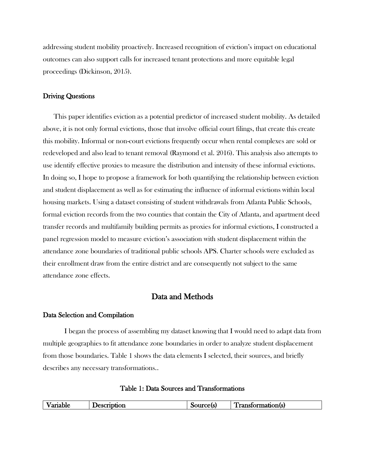addressing student mobility proactively. Increased recognition of eviction's impact on educational outcomes can also support calls for increased tenant protections and more equitable legal proceedings (Dickinson, 2015).

# Driving Questions

This paper identifies eviction as a potential predictor of increased student mobility. As detailed above, it is not only formal evictions, those that involve official court filings, that create this create this mobility. Informal or non-court evictions frequently occur when rental complexes are sold or redeveloped and also lead to tenant removal (Raymond et al. 2016). This analysis also attempts to use identify effective proxies to measure the distribution and intensity of these informal evictions. In doing so, I hope to propose a framework for both quantifying the relationship between eviction and student displacement as well as for estimating the influence of informal evictions within local housing markets. Using a dataset consisting of student withdrawals from Atlanta Public Schools, formal eviction records from the two counties that contain the City of Atlanta, and apartment deed transfer records and multifamily building permits as proxies for informal evictions, I constructed a panel regression model to measure eviction's association with student displacement within the attendance zone boundaries of traditional public schools APS. Charter schools were excluded as their enrollment draw from the entire district and are consequently not subject to the same attendance zone effects.

# Data and Methods

# Data Selection and Compilation

I began the process of assembling my dataset knowing that I would need to adapt data from multiple geographies to fit attendance zone boundaries in order to analyze student displacement from those boundaries. Table 1 shows the data elements I selected, their sources, and briefly describes any necessary transformations..

# Table 1: Data Sources and Transformations

|  | <b>Variable</b> | escription<br>- reso | ource(s) | l ransformation(s) |
|--|-----------------|----------------------|----------|--------------------|
|--|-----------------|----------------------|----------|--------------------|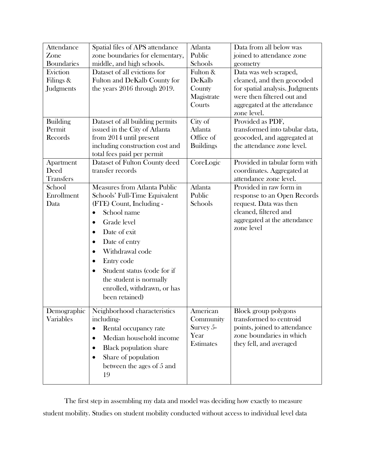| Attendance        | Spatial files of APS attendance            | Atlanta          | Data from all below was         |
|-------------------|--------------------------------------------|------------------|---------------------------------|
| Zone              | zone boundaries for elementary,            | Public           | joined to attendance zone       |
| <b>Boundaries</b> | middle, and high schools.                  | Schools          | geometry                        |
| Eviction          | Dataset of all evictions for               | Fulton &         | Data was web scraped,           |
| Filings &         | Fulton and DeKalb County for               | DeKalb           | cleaned, and then geocoded      |
| Judgments         | the years 2016 through 2019.               | County           | for spatial analysis. Judgments |
|                   |                                            | Magistrate       | were then filtered out and      |
|                   |                                            | Courts           | aggregated at the attendance    |
|                   |                                            |                  | zone level.                     |
| <b>Building</b>   | Dataset of all building permits            | City of          | Provided as PDF,                |
| Permit            | issued in the City of Atlanta              | Atlanta          | transformed into tabular data,  |
| Records           | from 2014 until present                    | Office of        | geocoded, and aggregated at     |
|                   | including construction cost and            | <b>Buildings</b> | the attendance zone level.      |
|                   | total fees paid per permit                 |                  |                                 |
| Apartment         | Dataset of Fulton County deed              | CoreLogic        | Provided in tabular form with   |
| Deed              | transfer records                           |                  | coordinates. Aggregated at      |
| <b>Transfers</b>  |                                            |                  | attendance zone level.          |
| School            | <b>Measures from Atlanta Public</b>        | Atlanta          | Provided in raw form in         |
| Enrollment        | Schools' Full-Time Equivalent              | Public           | response to an Open Records     |
| Data              | (FTE) Count, Including -                   | Schools          | request. Data was then          |
|                   | School name<br>$\bullet$                   |                  | cleaned, filtered and           |
|                   | Grade level<br>$\bullet$                   |                  | aggregated at the attendance    |
|                   | Date of exit<br>$\bullet$                  |                  | zone level                      |
|                   | Date of entry<br>$\bullet$                 |                  |                                 |
|                   | Withdrawal code<br>$\bullet$               |                  |                                 |
|                   | Entry code<br>$\bullet$                    |                  |                                 |
|                   | Student status (code for if<br>$\bullet$   |                  |                                 |
|                   | the student is normally                    |                  |                                 |
|                   | enrolled, withdrawn, or has                |                  |                                 |
|                   | been retained)                             |                  |                                 |
|                   |                                            |                  |                                 |
| Demographic       | Neighborhood characteristics               | American         | Block group polygons            |
| Variables         | including-                                 | Community        | transformed to centroid         |
|                   | Rental occupancy rate<br>$\bullet$         | Survey $5-$      | points, joined to attendance    |
|                   | Median household income<br>$\bullet$       | Year             | zone boundaries in which        |
|                   | <b>Black population share</b><br>$\bullet$ | Estimates        | they fell, and averaged         |
|                   | Share of population<br>$\bullet$           |                  |                                 |
|                   |                                            |                  |                                 |
|                   | between the ages of 5 and                  |                  |                                 |
|                   | 19                                         |                  |                                 |

The first step in assembling my data and model was deciding how exactly to measure student mobility. Studies on student mobility conducted without access to individual level data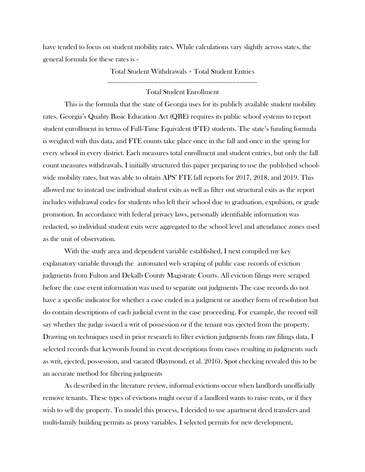have tended to focus on student mobility rates. While calculations vary slightly across states, the general formula for these rates is -

> Total Student Withdrawals + Total Student Entries \_\_\_\_\_\_\_\_\_\_\_\_\_\_\_\_\_\_\_\_\_\_\_\_\_\_\_\_\_\_\_\_\_\_\_\_\_\_\_\_\_\_

# Total Student Enrollment

This is the formula that the state of Georgia uses for its publicly available student mobility rates. Georgia's Quality Basic Education Act (QBE) requires its public school systems to report student enrollment in terms of Full-Time Equivalent (FTE) students. The state's funding formula is weighted with this data, and FTE counts take place once in the fall and once in the spring for every school in every district. Each measures total enrollment and student entries, but only the fall count measures withdrawals. I initially structured this paper preparing to use the published schoolwide mobility rates, but was able to obtain APS' FTE fall reports for 2017, 2018, and 2019. This allowed me to instead use individual student exits as well as filter out structural exits as the report includes withdrawal codes for students who left their school due to graduation, expulsion, or grade promotion. In accordance with federal privacy laws, personally identifiable information was redacted, so individual student exits were aggregated to the school level and attendance zones used as the unit of observation.

With the study area and dependent variable established, I next compiled my key explanatory variable through the automated web scraping of public case records of eviction judgments from Fulton and Dekalb County Magistrate Courts. All eviction filings were scraped before the case event information was used to separate out judgments The case records do not have a specific indicator for whether a case ended in a judgment or another form of resolution but do contain descriptions of each judicial event in the case proceeding. For example, the record will say whether the judge issued a writ of possession or if the tenant was ejected from the property. Drawing on techniques used in prior research to filter eviction judgments from raw filings data, I selected records that keywords found in event descriptions from cases resulting in judgments such as writ, ejected, possession, and vacated (Raymond, et al. 2016). Spot checking revealed this to be an accurate method for filtering judgments

As described in the literature review, informal evictions occur when landlords unofficially remove tenants. These types of evictions might occur if a landlord wants to raise rents, or if they wish to sell the property. To model this process, I decided to use apartment deed transfers and multi-family building permits as proxy variables. I selected permits for new development,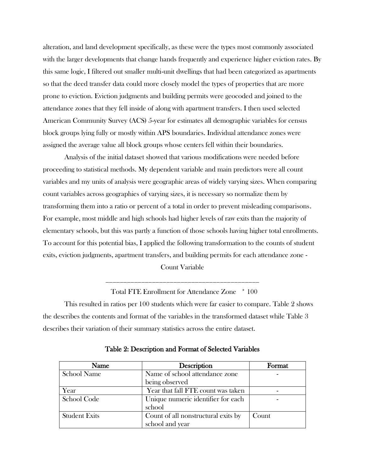alteration, and land development specifically, as these were the types most commonly associated with the larger developments that change hands frequently and experience higher eviction rates. By this same logic, I filtered out smaller multi-unit dwellings that had been categorized as apartments so that the deed transfer data could more closely model the types of properties that are more prone to eviction. Eviction judgments and building permits were geocoded and joined to the attendance zones that they fell inside of along with apartment transfers. I then used selected American Community Survey (ACS) 5-year for estimates all demographic variables for census block groups lying fully or mostly within APS boundaries. Individual attendance zones were assigned the average value all block groups whose centers fell within their boundaries.

Analysis of the initial dataset showed that various modifications were needed before proceeding to statistical methods. My dependent variable and main predictors were all count variables and my units of analysis were geographic areas of widely varying sizes. When comparing count variables across geographies of varying sizes, it is necessary so normalize them by transforming them into a ratio or percent of a total in order to prevent misleading comparisons. For example, most middle and high schools had higher levels of raw exits than the majority of elementary schools, but this was partly a function of those schools having higher total enrollments. To account for this potential bias, I applied the following transformation to the counts of student exits, eviction judgments, apartment transfers, and building permits for each attendance zone -

Count Variable

\_\_\_\_\_\_\_\_\_\_\_\_\_\_\_\_\_\_\_\_\_\_\_\_\_\_\_\_\_\_\_\_\_\_\_\_\_\_\_\_\_\_\_

Total FTE Enrollment for Attendance Zone \* 100

This resulted in ratios per 100 students which were far easier to compare. Table 2 shows the describes the contents and format of the variables in the transformed dataset while Table 3 describes their variation of their summary statistics across the entire dataset.

| Name                 | Description                         | Format |
|----------------------|-------------------------------------|--------|
| <b>School Name</b>   | Name of school attendance zone      |        |
|                      | being observed                      |        |
| Year                 | Year that fall FTE count was taken  |        |
| School Code          | Unique numeric identifier for each  |        |
|                      | school                              |        |
| <b>Student Exits</b> | Count of all nonstructural exits by | Count  |
|                      | school and year                     |        |

Table 2: Description and Format of Selected Variables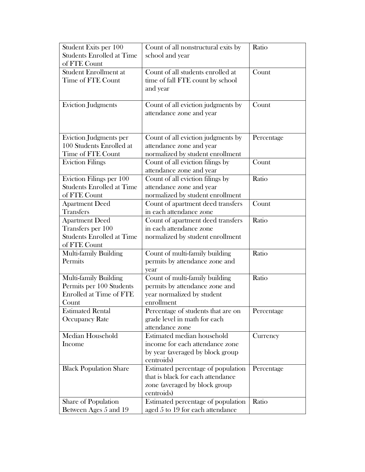| Student Exits per 100            | Count of all nonstructural exits by | Ratio      |
|----------------------------------|-------------------------------------|------------|
| <b>Students Enrolled at Time</b> | school and year                     |            |
| of FTE Count                     |                                     |            |
| <b>Student Enrollment at</b>     | Count of all students enrolled at   | Count      |
| Time of FTE Count                | time of fall FTE count by school    |            |
|                                  | and year                            |            |
|                                  |                                     |            |
| <b>Eviction Judgments</b>        | Count of all eviction judgments by  | Count      |
|                                  | attendance zone and year            |            |
|                                  |                                     |            |
|                                  |                                     |            |
| <b>Eviction Judgments per</b>    | Count of all eviction judgments by  | Percentage |
| 100 Students Enrolled at         | attendance zone and year            |            |
| Time of FTE Count                | normalized by student enrollment    |            |
| <b>Eviction Filings</b>          | Count of all eviction filings by    | Count      |
|                                  | attendance zone and year            |            |
| Eviction Filings per 100         | Count of all eviction filings by    | Ratio      |
| <b>Students Enrolled at Time</b> | attendance zone and year            |            |
| of FTE Count                     | normalized by student enrollment    |            |
| <b>Apartment Deed</b>            | Count of apartment deed transfers   | Count      |
| <b>Transfers</b>                 | in each attendance zone             |            |
| <b>Apartment Deed</b>            | Count of apartment deed transfers   | Ratio      |
| Transfers per 100                | in each attendance zone             |            |
| <b>Students Enrolled at Time</b> | normalized by student enrollment    |            |
| of FTE Count                     |                                     |            |
| Multi-family Building            | Count of multi-family building      | Ratio      |
| Permits                          | permits by attendance zone and      |            |
|                                  | year                                |            |
| Multi-family Building            | Count of multi-family building      | Ratio      |
| Permits per 100 Students         | permits by attendance zone and      |            |
| Enrolled at Time of FTE          | year normalized by student          |            |
| Count                            | enrollment                          |            |
| <b>Estimated Rental</b>          | Percentage of students that are on  | Percentage |
| <b>Occupancy Rate</b>            | grade level in math for each        |            |
|                                  | attendance zone                     |            |
| Median Household                 | Estimated median household          | Currency   |
| Income                           | income for each attendance zone     |            |
|                                  | by year (averaged by block group    |            |
|                                  | centroids)                          |            |
| <b>Black Population Share</b>    | Estimated percentage of population  | Percentage |
|                                  | that is black for each attendance   |            |
|                                  | zone (averaged by block group       |            |
|                                  | centroids)                          |            |
| Share of Population              | Estimated percentage of population  | Ratio      |
| Between Ages 5 and 19            | aged 5 to 19 for each attendance    |            |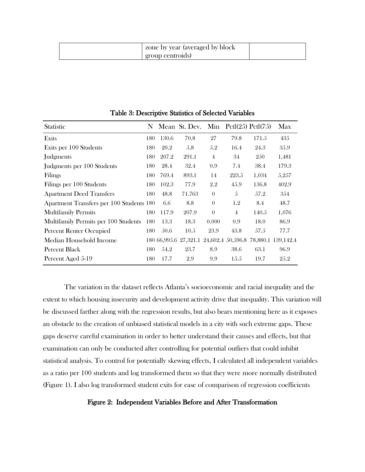| s zone by year (averaged by block)<br>group centroids) |  |
|--------------------------------------------------------|--|
|--------------------------------------------------------|--|

| <b>Statistic</b>                         |     |       | N Mean St. Dev. Min $Pctl(25) Pctl(75)$ |                |                |       | Max                                                        |
|------------------------------------------|-----|-------|-----------------------------------------|----------------|----------------|-------|------------------------------------------------------------|
| Exits                                    | 180 | 130.6 | 70.8                                    | 27             | 79.8           | 171.5 | 435                                                        |
| Exits per 100 Students                   | 180 | 20.2  | 5.8                                     | 5.2            | 16.4           | 24.3  | 35.9                                                       |
| Judgments                                | 180 | 207.2 | 291.1                                   | $\overline{4}$ | 34             | 250   | 1,481                                                      |
| Judgments per 100 Students               | 180 | 28.4  | 32.4                                    | 0.9            | 7.4            | 38.4  | 179.3                                                      |
| Filings                                  | 180 | 769.4 | 893.1                                   | 14             | 223.5          | 1,034 | 5,257                                                      |
| Filings per 100 Students                 | 180 | 102.3 | 77.9                                    | 2.2            | 45.9           | 136.8 | 402.9                                                      |
| <b>Apartment Deed Transfers</b>          | 180 | 48.8  | 71.763                                  | $\theta$       | 5              | 57.2  | 354                                                        |
| Apartment Transfers per 100 Students 180 |     | 6.6   | 8.8                                     | $\theta$       | 1.2            | 8.4   | 48.7                                                       |
| <b>Multifamily Permits</b>               | 180 | 117.9 | 207.9                                   | $\theta$       | $\overline{4}$ | 140.5 | 1,076                                                      |
| Multifamily Permits per 100 Students     | 180 | 13.3  | 18.3                                    | 0.000          | 0.9            | 18.0  | 86.9                                                       |
| <b>Percent Renter Occupied</b>           | 180 | 50.6  | 10.5                                    | 23.9           | 43.8           | 57.5  | 77.7                                                       |
| Median Household Income                  |     |       |                                         |                |                |       | 180 66,995.6 27,321.1 24,602.4 50,596.8 78,880.1 139,142.4 |
| Percent Black                            | 180 | 54.2  | 23.7                                    | 8.9            | 38.6           | 63.1  | 96.9                                                       |
| Percent Aged 5-19                        | 180 | 17.7  | 2.9                                     | 9.9            | 15.5           | 19.7  | 25.2                                                       |

Table 3: Descriptive Statistics of Selected Variables

The variation in the dataset reflects Atlanta's socioeconomic and racial inequality and the extent to which housing insecurity and development activity drive that inequality. This variation will be discussed farther along with the regression results, but also bears mentioning here as it exposes an obstacle to the creation of unbiased statistical models in a city with such extreme gaps. These gaps deserve careful examination in order to better understand their causes and effects, but that examination can only be conducted after controlling for potential outliers that could inhibit statistical analysis. To control for potentially skewing effects, I calculated all independent variables as a ratio per 100 students and log transformed them so that they were more normally distributed (Figure 1). I also log transformed student exits for ease of comparison of regression coefficients

#### Figure 2: Independent Variables Before and After Transformation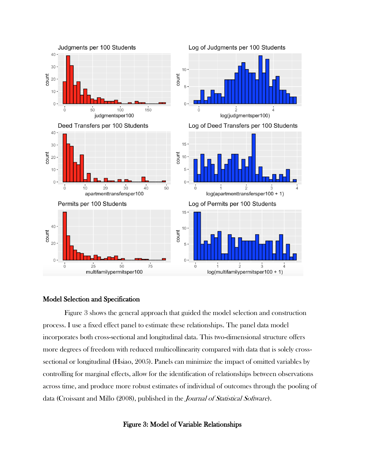

# Model Selection and Specification

Figure 3 shows the general approach that guided the model selection and construction process. I use a fixed effect panel to estimate these relationships. The panel data model incorporates both cross-sectional and longitudinal data. This two-dimensional structure offers more degrees of freedom with reduced multicollinearity compared with data that is solely crosssectional or longitudinal (Hsiao, 2005). Panels can minimize the impact of omitted variables by controlling for marginal effects, allow for the identification of relationships between observations across time, and produce more robust estimates of individual of outcomes through the pooling of data (Croissant and Millo (2008), published in the Journal of Statistical Software).

# Figure 3: Model of Variable Relationships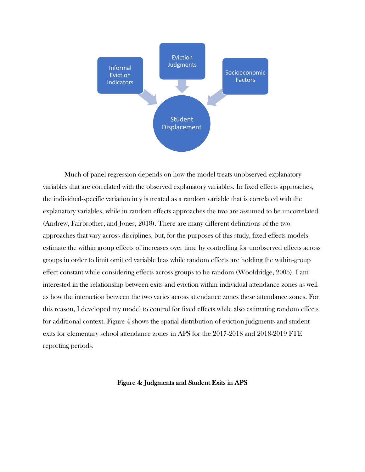

Much of panel regression depends on how the model treats unobserved explanatory variables that are correlated with the observed explanatory variables. In fixed effects approaches, the individual-specific variation in y is treated as a random variable that is correlated with the explanatory variables, while in random effects approaches the two are assumed to be uncorrelated (Andrew, Fairbrother, and Jones, 2018). There are many different definitions of the two approaches that vary across disciplines, but, for the purposes of this study, fixed effects models estimate the within group effects of increases over time by controlling for unobserved effects across groups in order to limit omitted variable bias while random effects are holding the within-group effect constant while considering effects across groups to be random (Wooldridge, 2005). I am interested in the relationship between exits and eviction within individual attendance zones as well as how the interaction between the two varies across attendance zones these attendance zones. For this reason, I developed my model to control for fixed effects while also estimating random effects for additional context. Figure 4 shows the spatial distribution of eviction judgments and student exits for elementary school attendance zones in APS for the 2017-2018 and 2018-2019 FTE reporting periods.

# Figure 4: Judgments and Student Exits in APS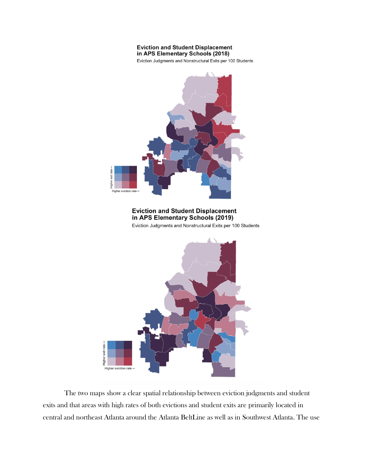#### **Eviction and Student Displacement** in APS Elementary Schools (2018)

Eviction Judgments and Nonstructural Exits per 100 Students



The two maps show a clear spatial relationship between eviction judgments and student exits and that areas with high rates of both evictions and student exits are primarily located in central and northeast Atlanta around the Atlanta BeltLine as well as in Southwest Atlanta. The use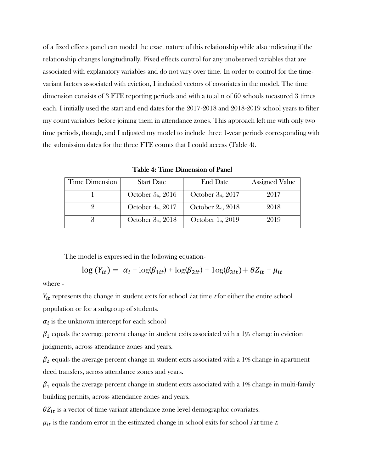of a fixed effects panel can model the exact nature of this relationship while also indicating if the relationship changes longitudinally. Fixed effects control for any unobserved variables that are associated with explanatory variables and do not vary over time. In order to control for the timevariant factors associated with eviction, I included vectors of covariates in the model. The time dimension consists of 3 FTE reporting periods and with a total n of 60 schools measured 3 times each. I initially used the start and end dates for the 2017-2018 and 2018-2019 school years to filter my count variables before joining them in attendance zones. This approach left me with only two time periods, though, and I adjusted my model to include three 1-year periods corresponding with the submission dates for the three FTE counts that I could access (Table 4).

Table 4: Time Dimension of Panel

| <b>Time Dimension</b> | <b>Start Date</b>       | <b>End Date</b>         | <b>Assigned Value</b> |
|-----------------------|-------------------------|-------------------------|-----------------------|
|                       | October $5th$ , 2016    | October $3_{nd}$ , 2017 | 2017                  |
|                       | October $4th$ , 2017    | October $2_{nd}$ , 2018 | 2018                  |
|                       | October $3_{nd}$ , 2018 | October $1st$ , 2019    | 2019                  |

The model is expressed in the following equation-

$$
\log(Y_{it}) = \alpha_i + \log(\beta_{1it}) + \log(\beta_{2it}) + \log(\beta_{3it}) + \theta Z_{it} + \mu_{it}
$$

where -

 $Y_{it}$  represents the change in student exits for school *i* at time *t* for either the entire school population or for a subgroup of students.

 $\alpha_i$  is the unknown intercept for each school

 $\beta_1$  equals the average percent change in student exits associated with a 1% change in eviction judgments, across attendance zones and years.

 $\beta_2$  equals the average percent change in student exits associated with a 1% change in apartment deed transfers, across attendance zones and years.

 $\beta_1$  equals the average percent change in student exits associated with a 1% change in multi-family building permits, across attendance zones and years.

 $\theta Z_{it}$  is a vector of time-variant attendance zone-level demographic covariates.

 $\mu_{it}$  is the random error in the estimated change in school exits for school *i* at time *t*.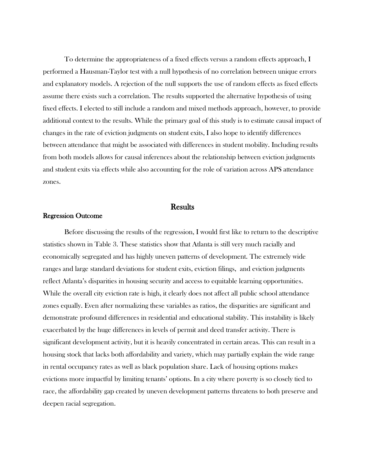To determine the appropriateness of a fixed effects versus a random effects approach, I performed a Hausman-Taylor test with a null hypothesis of no correlation between unique errors and explanatory models. A rejection of the null supports the use of random effects as fixed effects assume there exists such a correlation. The results supported the alternative hypothesis of using fixed effects. I elected to still include a random and mixed methods approach, however, to provide additional context to the results. While the primary goal of this study is to estimate causal impact of changes in the rate of eviction judgments on student exits, I also hope to identify differences between attendance that might be associated with differences in student mobility. Including results from both models allows for causal inferences about the relationship between eviction judgments and student exits via effects while also accounting for the role of variation across APS attendance zones.

# **Results**

# Regression Outcome

Before discussing the results of the regression, I would first like to return to the descriptive statistics shown in Table 3. These statistics show that Atlanta is still very much racially and economically segregated and has highly uneven patterns of development. The extremely wide ranges and large standard deviations for student exits, eviction filings, and eviction judgments reflect Atlanta's disparities in housing security and access to equitable learning opportunities. While the overall city eviction rate is high, it clearly does not affect all public school attendance zones equally. Even after normalizing these variables as ratios, the disparities are significant and demonstrate profound differences in residential and educational stability. This instability is likely exacerbated by the huge differences in levels of permit and deed transfer activity. There is significant development activity, but it is heavily concentrated in certain areas. This can result in a housing stock that lacks both affordability and variety, which may partially explain the wide range in rental occupancy rates as well as black population share. Lack of housing options makes evictions more impactful by limiting tenants' options. In a city where poverty is so closely tied to race, the affordability gap created by uneven development patterns threatens to both preserve and deepen racial segregation.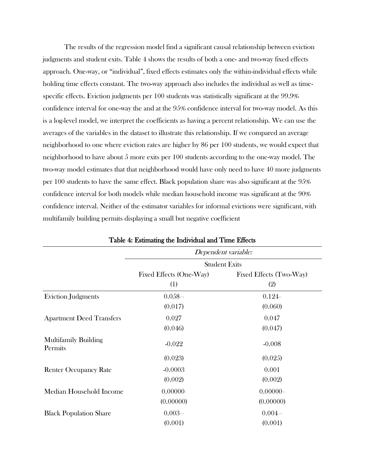The results of the regression model find a significant causal relationship between eviction judgments and student exits. Table 4 shows the results of both a one- and two-way fixed effects approach. One-way, or "individual", fixed effects estimates only the within-individual effects while holding time effects constant. The two-way approach also includes the individual as well as timespecific effects. Eviction judgments per 100 students was statistically significant at the 99.9% confidence interval for one-way the and at the 95% confidence interval for two-way model. As this is a log-level model, we interpret the coefficients as having a percent relationship. We can use the averages of the variables in the dataset to illustrate this relationship. If we compared an average neighborhood to one where eviction rates are higher by 86 per 100 students, we would expect that neighborhood to have about 5 more exits per 100 students according to the one-way model. The two-way model estimates that that neighborhood would have only need to have 40 more judgments per 100 students to have the same effect. Black population share was also significant at the 95% confidence interval for both models while median household income was significant at the 90% confidence interval. Neither of the estimator variables for informal evictions were significant, with multifamily building permits displaying a small but negative coefficient

|                                        |                         | Dependent variable:     |
|----------------------------------------|-------------------------|-------------------------|
|                                        |                         | <b>Student Exits</b>    |
|                                        | Fixed Effects (One-Way) | Fixed Effects (Two-Way) |
|                                        | (1)                     | (2)                     |
| <b>Eviction Judgments</b>              | 0.058                   | 0.124                   |
|                                        | (0.017)                 | (0.060)                 |
| <b>Apartment Deed Transfers</b>        | 0.027                   | 0.047                   |
|                                        | (0.046)                 | (0.047)                 |
| <b>Multifamily Building</b><br>Permits | $-0.022$                | $-0.008$                |
|                                        | (0.023)                 | (0.025)                 |
| <b>Renter Occupancy Rate</b>           | $-0.0003$               | 0.001                   |
|                                        | (0.002)                 | (0.002)                 |
| Median Household Income                | 0.00000                 | $0.00000$ .             |
|                                        | (0.00000)               | (0.00000)               |
| <b>Black Population Share</b>          | 0.003                   | 0.004                   |
|                                        | (0.001)                 | (0.001)                 |

Table 4: Estimating the Individual and Time Effects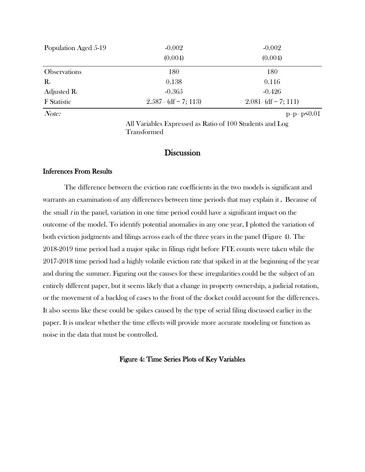|                                                                              | Population Aged 5-19 | $-0.002$<br>(0.004) | $-0.002$<br>(0.004) |
|------------------------------------------------------------------------------|----------------------|---------------------|---------------------|
| 180<br>180<br><b>Observations</b>                                            |                      |                     |                     |
| $\mathbf{R}_{2}$<br>0.138<br>0.116                                           |                      |                     |                     |
| $-0.426$<br>Adjusted $\mathbf{R}_2$<br>$-0.365$                              |                      |                     |                     |
| $2.587 - (df = 7; 113)$<br>$2.081 \cdot (df = 7; 111)$<br><b>F</b> Statistic |                      |                     |                     |

 $Note:$   $\qquad \qquad$   $\qquad \qquad$   $\qquad \qquad$   $\qquad \qquad$   $\qquad \qquad$   $\qquad \qquad$   $\qquad \qquad$   $\qquad \qquad$   $\qquad \qquad$   $\qquad \qquad$   $\qquad \qquad$   $\qquad \qquad$   $\qquad \qquad$   $\qquad \qquad$   $\qquad \qquad$   $\qquad \qquad$   $\qquad \qquad$   $\qquad \qquad$   $\qquad \qquad$   $\qquad \qquad$   $\qquad \qquad$   $\qquad \qquad$   $\qquad \qquad$   $\qquad \qquad$ 

All Variables Expressed as Ratio of 100 Students and Log Transformed

# **Discussion**

# Inferences From Results

The difference between the eviction rate coefficients in the two models is significant and warrants an examination of any differences between time periods that may explain it. Because of the small  $t$  in the panel, variation in one time period could have a significant impact on the outcome of the model. To identify potential anomalies in any one year, I plotted the variation of both eviction judgments and filings across each of the three years in the panel (Figure 4). The 2018-2019 time period had a major spike in filings right before FTE counts were taken while the 2017-2018 time period had a highly volatile eviction rate that spiked in at the beginning of the year and during the summer. Figuring out the causes for these irregularities could be the subject of an entirely different paper, but it seems likely that a change in property ownership, a judicial rotation, or the movement of a backlog of cases to the front of the docket could account for the differences. It also seems like these could be spikes caused by the type of serial filing discussed earlier in the paper. It is unclear whether the time effects will provide more accurate modeling or function as noise in the data that must be controlled.

# Figure 4: Time Series Plots of Key Variables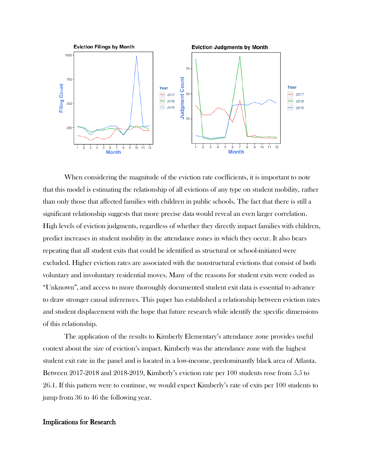

When considering the magnitude of the eviction rate coefficients, it is important to note that this model is estimating the relationship of all evictions of any type on student mobility, rather than only those that affected families with children in public schools. The fact that there is still a significant relationship suggests that more precise data would reveal an even larger correlation. High levels of eviction judgments, regardless of whether they directly impact families with children, predict increases in student mobility in the attendance zones in which they occur. It also bears repeating that all student exits that could be identified as structural or school-initiated were excluded. Higher eviction rates are associated with the nonstructural evictions that consist of both voluntary and involuntary residential moves. Many of the reasons for student exits were coded as "Unknown", and access to more thoroughly documented student exit data is essential to advance to draw stronger causal inferences. This paper has established a relationship between eviction rates and student displacement with the hope that future research while identify the specific dimensions of this relationship.

The application of the results to Kimberly Elementary's attendance zone provides useful context about the size of eviction's impact. Kimberly was the attendance zone with the highest student exit rate in the panel and is located in a low-income, predominantly black area of Atlanta. Between 2017-2018 and 2018-2019, Kimberly's eviction rate per 100 students rose from 5.5 to 26.1. If this pattern were to continue, we would expect Kimberly's rate of exits per 100 students to jump from 36 to 46 the following year.

# Implications for Research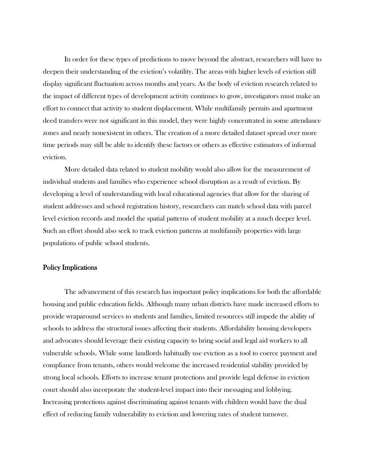In order for these types of predictions to move beyond the abstract, researchers will have to deepen their understanding of the eviction's volatility. The areas with higher levels of eviction still display significant fluctuation across months and years. As the body of eviction research related to the impact of different types of development activity continues to grow, investigators must make an effort to connect that activity to student displacement. While multifamily permits and apartment deed transfers were not significant in this model, they were highly concentrated in some attendance zones and nearly nonexistent in others. The creation of a more detailed dataset spread over more time periods may still be able to identify these factors or others as effective estimators of informal eviction.

More detailed data related to student mobility would also allow for the measurement of individual students and families who experience school disruption as a result of eviction. By developing a level of understanding with local educational agencies that allow for the sharing of student addresses and school registration history, researchers can match school data with parcel level eviction records and model the spatial patterns of student mobility at a much deeper level. Such an effort should also seek to track eviction patterns at multifamily properties with large populations of public school students.

#### Policy Implications

The advancement of this research has important policy implications for both the affordable housing and public education fields. Although many urban districts have made increased efforts to provide wraparound services to students and families, limited resources still impede the ability of schools to address the structural issues affecting their students. Affordability housing developers and advocates should leverage their existing capacity to bring social and legal aid workers to all vulnerable schools. While some landlords habitually use eviction as a tool to coerce payment and compliance from tenants, others would welcome the increased residential stability provided by strong local schools. Efforts to increase tenant protections and provide legal defense in eviction court should also incorporate the student-level impact into their messaging and lobbying. Increasing protections against discriminating against tenants with children would have the dual effect of reducing family vulnerability to eviction and lowering rates of student turnover.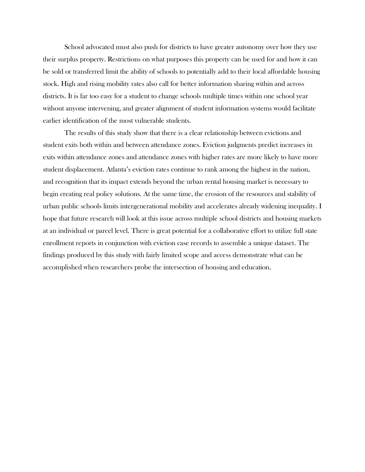School advocated must also push for districts to have greater autonomy over how they use their surplus property. Restrictions on what purposes this property can be used for and how it can be sold or transferred limit the ability of schools to potentially add to their local affordable housing stock. High and rising mobility rates also call for better information sharing within and across districts. It is far too easy for a student to change schools multiple times within one school year without anyone intervening, and greater alignment of student information systems would facilitate earlier identification of the most vulnerable students.

The results of this study show that there is a clear relationship between evictions and student exits both within and between attendance zones. Eviction judgments predict increases in exits within attendance zones and attendance zones with higher rates are more likely to have more student displacement. Atlanta's eviction rates continue to rank among the highest in the nation, and recognition that its impact extends beyond the urban rental housing market is necessary to begin creating real policy solutions. At the same time, the erosion of the resources and stability of urban public schools limits intergenerational mobility and accelerates already widening inequality. I hope that future research will look at this issue across multiple school districts and housing markets at an individual or parcel level. There is great potential for a collaborative effort to utilize full state enrollment reports in conjunction with eviction case records to assemble a unique dataset. The findings produced by this study with fairly limited scope and access demonstrate what can be accomplished when researchers probe the intersection of housing and education.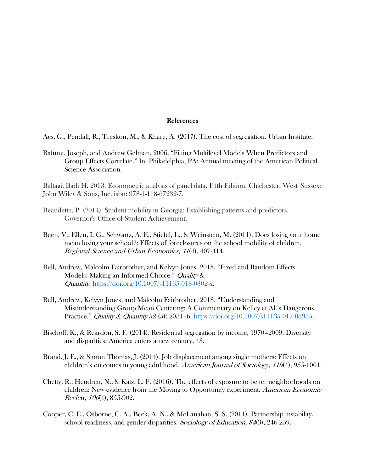#### References

Acs, G., Pendall, R., Treskon, M., & Khare, A. (2017). The cost of segregation. Urban Institute.

Bafumi, Joseph, and Andrew Gelman. 2006. "Fitting Multilevel Models When Predictors and Group Effects Correlate." In. Philadelphia, PA: Annual meeting of the American Political Science Association.

Baltagi, Badi H. 2013. Econometric analysis of panel data. Fifth Edition. Chichester, West Sussex: John Wiley & Sons, Inc. isbn: 978-1-118-67232-7.

- Beaudette, P. (2014). Student mobility in Georgia: Establishing patterns and predictors. Governor's Office of Student Achievement.
- Been, V., Ellen, I. G., Schwartz, A. E., Stiefel, L., & Weinstein, M. (2011). Does losing your home mean losing your school?: Effects of foreclosures on the school mobility of children. Regional Science and Urban Economics, 41(4), 407-414.
- Bell, Andrew, Malcolm Fairbrother, and Kelvyn Jones. 2018. "Fixed and Random Effects Models: Making an Informed Choice." *Quality &* Quantity. [https://doi.org/10.1007/s11135-018-0802-x.](https://doi.org/10.1007/s11135-018-0802-x)
- Bell, Andrew, Kelvyn Jones, and Malcolm Fairbrother. 2018. "Understanding and Misunderstanding Group Mean Centering: A Commentary on Kelley et Al.'s Dangerous Practice." *Quality & Quantity* 52 (5):  $2031-6$ . [https://doi.org/10.1007/s11135-017-05935.](https://doi.org/10.1007/s11135-017-05935)
- Bischoff, K., & Reardon, S. F. (2014). Residential segregation by income, 1970–2009. Diversity and disparities: America enters a new century, 43.
- Brand, J. E., & Simon Thomas, J. (2014). Job displacement among single mothers: Effects on children's outcomes in young adulthood. American Journal of Sociology, 119(4), 955-1001.
- Chetty, R., Hendren, N., & Katz, L. F. (2016). The effects of exposure to better neighborhoods on children: New evidence from the Moving to Opportunity experiment. American Economic Review, <sup>106</sup>(4), 855-902.
- Cooper, C. E., Osborne, C. A., Beck, A. N., & McLanahan, S. S. (2011). Partnership instability, school readiness, and gender disparities. Sociology of Education, 84(3), 246-259.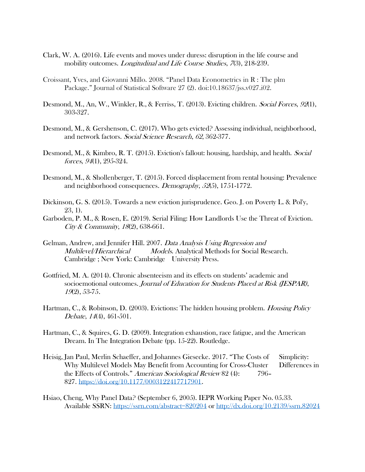- Clark, W. A. (2016). Life events and moves under duress: disruption in the life course and mobility outcomes. *Longitudinal and Life Course Studies*, 7(3), 218-239.
- Croissant, Yves, and Giovanni Millo. 2008. "Panel Data Econometrics in R : The plm Package." Journal of Statistical Software 27 (2). doi:10.18637/jss.v027.i02.
- Desmond, M., An, W., Winkler, R., & Ferriss, T. (2013). Evicting children. *Social Forces*, 92(1), 303-327.
- Desmond, M., & Gershenson, C. (2017). Who gets evicted? Assessing individual, neighborhood, and network factors. Social Science Research, 62, 362-377.
- Desmond, M., & Kimbro, R. T. (2015). Eviction's fallout: housing, hardship, and health. Social forces, <sup>94</sup>(1), 295-324.
- Desmond, M., & Shollenberger, T. (2015). Forced displacement from rental housing: Prevalence and neighborhood consequences. *Demography*, 52(5), 1751-1772.
- Dickinson, G. S. (2015). Towards a new eviction jurisprudence. Geo. J. on Poverty L. & Pol'y, 23, 1).
- Garboden, P. M., & Rosen, E. (2019). Serial Filing: How Landlords Use the Threat of Eviction. City & Community, 18(2), 638-661.
- Gelman, Andrew, and Jennifer Hill. 2007. Data Analysis Using Regression and Multilevel/Hierarchical Models. Analytical Methods for Social Research. Cambridge ; New York: Cambridge University Press.
- Gottfried, M. A. (2014). Chronic absenteeism and its effects on students' academic and socioemotional outcomes. Journal of Education for Students Placed at Risk (JESPAR), <sup>19</sup>(2), 53-75.
- Hartman, C., & Robinson, D. (2003). Evictions: The hidden housing problem. *Housing Policy* Debate, <sup>14</sup>(4), 461-501.
- Hartman, C., & Squires, G. D. (2009). Integration exhaustion, race fatigue, and the American Dream. In The Integration Debate (pp. 15-22). Routledge.
- Heisig, Jan Paul, Merlin Schaeffer, and Johannes Giesecke. 2017. "The Costs of Simplicity: Why Multilevel Models May Benefit from Accounting for Cross-Cluster Differences in the Effects of Controls." American Sociological Review 82 (4): 796– 827. [https://doi.org/10.1177/0003122417717901.](https://doi.org/10.1177/0003122417717901)
- Hsiao, Cheng, Why Panel Data? (September 6, 2005). IEPR Working Paper No. 05.33. Available SSRN: <https://ssrn.com/abstract=820204> or <http://dx.doi.org/10.2139/ssrn.82024>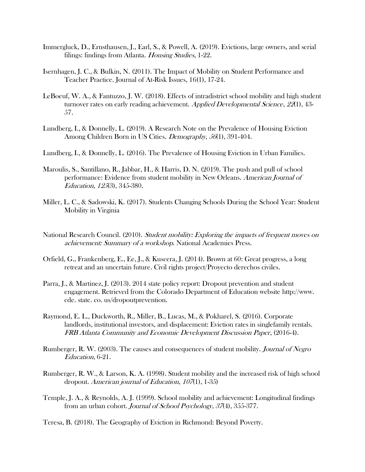- Immergluck, D., Ernsthausen, J., Earl, S., & Powell, A. (2019). Evictions, large owners, and serial filings: findings from Atlanta. *Housing Studies*, 1-22.
- Isernhagen, J. C., & Bulkin, N. (2011). The Impact of Mobility on Student Performance and Teacher Practice. Journal of At-Risk Issues, 16(1), 17-24.
- LeBoeuf, W. A., & Fantuzzo, J. W. (2018). Effects of intradistrict school mobility and high student turnover rates on early reading achievement. Applied Developmental Science, 22(1), 43-57.
- Lundberg, I., & Donnelly, L. (2019). A Research Note on the Prevalence of Housing Eviction Among Children Born in US Cities. *Demography*, 56(1), 391-404.
- Lundberg, I., & Donnelly, L. (2016). The Prevalence of Housing Eviction in Urban Families.
- Maroulis, S., Santillano, R., Jabbar, H., & Harris, D. N. (2019). The push and pull of school performance: Evidence from student mobility in New Orleans. American Journal of Education, <sup>125</sup>(3), 345-380.
- Miller, L. C., & Sadowski, K. (2017). Students Changing Schools During the School Year: Student Mobility in Virginia
- National Research Council. (2010). Student mobility: Exploring the impacts of frequent moves on achievement: Summary of a workshop. National Academies Press.
- Orfield, G., Frankenberg, E., Ee, J., & Kuscera, J. (2014). Brown at 60: Great progress, a long retreat and an uncertain future. Civil rights project/Proyecto derechos civiles.
- Parra, J., & Martinez, J. (2013). 2014 state policy report: Dropout prevention and student engagement. Retrieved from the Colorado Department of Education website http://www. cde. state. co. us/dropoutprevention.
- Raymond, E. L., Duckworth, R., Miller, B., Lucas, M., & Pokharel, S. (2016). Corporate landlords, institutional investors, and displacement: Eviction rates in singlefamily rentals. FRB Atlanta Community and Economic Development Discussion Paper, (2016-4).
- Rumberger, R. W. (2003). The causes and consequences of student mobility. *Journal of Negro* Education, 6-21.
- Rumberger, R. W., & Larson, K. A. (1998). Student mobility and the increased risk of high school dropout. American journal of Education, <sup>107</sup>(1), 1-35)
- Temple, J. A., & Reynolds, A. J. (1999). School mobility and achievement: Longitudinal findings from an urban cohort. Journal of School Psychology, 37(4), 355-377.
- Teresa, B. (2018). The Geography of Eviction in Richmond: Beyond Poverty.